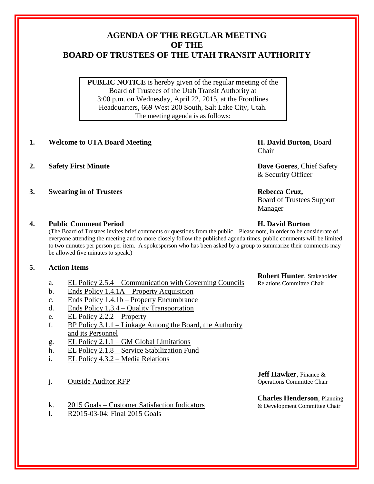## **AGENDA OF THE REGULAR MEETING OF THE BOARD OF TRUSTEES OF THE UTAH TRANSIT AUTHORITY**

**PUBLIC NOTICE** is hereby given of the regular meeting of the Board of Trustees of the Utah Transit Authority at 3:00 p.m. on Wednesday, April 22, 2015, at the Frontlines Headquarters, 669 West 200 South, Salt Lake City, Utah. The meeting agenda is as follows:

### **1. Welcome to UTA Board Meeting H. David Burton**, Board

- **2. Safety First Minute Dave Goeres**, Chief Safety
- **3. Swearing in of Trustees Rebecca Cruz,**

Chair

& Security Officer

# Board of Trustees Support

Manager

#### **4. Public Comment Period H. David Burton**

(The Board of Trustees invites brief comments or questions from the public. Please note, in order to be considerate of everyone attending the meeting and to more closely follow the published agenda times, public comments will be limited to two minutes per person per item. A spokesperson who has been asked by a group to summarize their comments may be allowed five minutes to speak.)

#### **5. Action Items**

- a. EL Policy 2.5.4 Communication with Governing Councils
- b. Ends Policy 1.4.1A Property Acquisition
- c. Ends Policy 1.4.1b Property Encumbrance
- d. Ends Policy 1.3.4 Quality Transportation
- e. EL Policy 2.2.2 Property
- f. BP Policy 3.1.1 Linkage Among the Board, the Authority and its Personnel
- g. EL Policy 2.1.1 GM Global Limitations
- h. EL Policy 2.1.8 Service Stabilization Fund
- i. EL Policy 4.3.2 Media Relations
- j. Outside Auditor RFP
- k. 2015 Goals Customer Satisfaction Indicators
- l. R2015-03-04: Final 2015 Goals

**Robert Hunter**, Stakeholder Relations Committee Chair

**Jeff Hawker**, Finance & Operations Committee Chair

**Charles Henderson**, Planning & Development Committee Chair